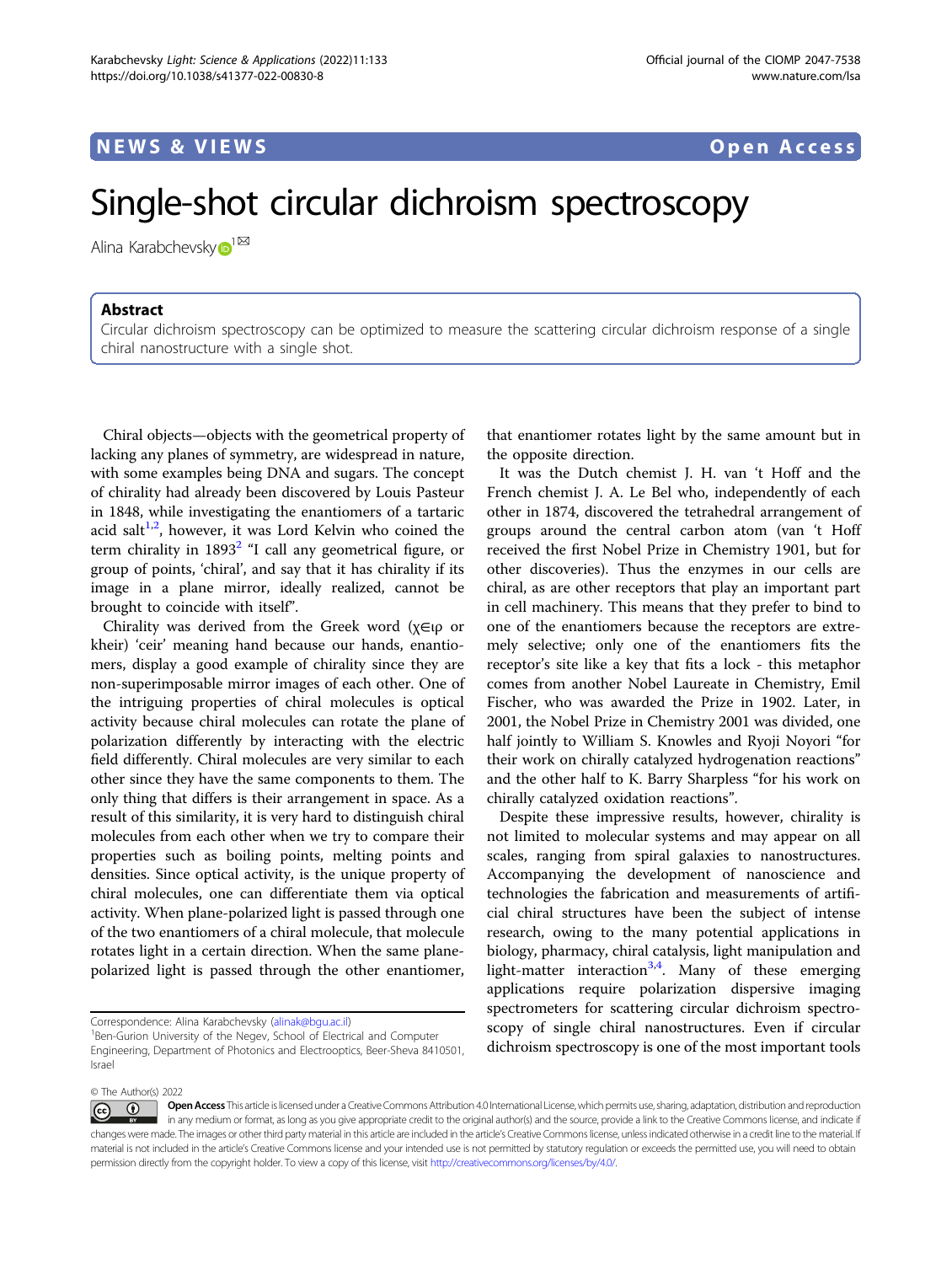## Single-shot circular dichroism spectroscopy

Alina Karabchevsk[y](http://orcid.org/0000-0002-4338-349X) $\mathbf{D}^{1^{\boxtimes }}$  $\mathbf{D}^{1^{\boxtimes }}$  $\mathbf{D}^{1^{\boxtimes }}$ 

## Abstract

Circular dichroism spectroscopy can be optimized to measure the scattering circular dichroism response of a single chiral nanostructure with a single shot.

Chiral objects—objects with the geometrical property of lacking any planes of symmetry, are widespread in nature, with some examples being DNA and sugars. The concept of chirality had already been discovered by Louis Pasteur in 1848, while investigating the enantiomers of a tartaric acid salt<sup>[1](#page-1-0),[2](#page-1-0)</sup>, however, it was Lord Kelvin who coined the term chirality in  $1893<sup>2</sup>$  $1893<sup>2</sup>$  $1893<sup>2</sup>$  "I call any geometrical figure, or group of points, 'chiral', and say that it has chirality if its image in a plane mirror, ideally realized, cannot be brought to coincide with itself".

Chirality was derived from the Greek word (χ∈ιρ or kheir) 'ceir' meaning hand because our hands, enantiomers, display a good example of chirality since they are non-superimposable mirror images of each other. One of the intriguing properties of chiral molecules is optical activity because chiral molecules can rotate the plane of polarization differently by interacting with the electric field differently. Chiral molecules are very similar to each other since they have the same components to them. The only thing that differs is their arrangement in space. As a result of this similarity, it is very hard to distinguish chiral molecules from each other when we try to compare their properties such as boiling points, melting points and densities. Since optical activity, is the unique property of chiral molecules, one can differentiate them via optical activity. When plane-polarized light is passed through one of the two enantiomers of a chiral molecule, that molecule rotates light in a certain direction. When the same planepolarized light is passed through the other enantiomer,

that enantiomer rotates light by the same amount but in the opposite direction.

It was the Dutch chemist J. H. van 't Hoff and the French chemist J. A. Le Bel who, independently of each other in 1874, discovered the tetrahedral arrangement of groups around the central carbon atom (van 't Hoff received the first Nobel Prize in Chemistry 1901, but for other discoveries). Thus the enzymes in our cells are chiral, as are other receptors that play an important part in cell machinery. This means that they prefer to bind to one of the enantiomers because the receptors are extremely selective; only one of the enantiomers fits the receptor's site like a key that fits a lock - this metaphor comes from another Nobel Laureate in Chemistry, Emil Fischer, who was awarded the Prize in 1902. Later, in 2001, the Nobel Prize in Chemistry 2001 was divided, one half jointly to William S. Knowles and Ryoji Noyori "for their work on chirally catalyzed hydrogenation reactions" and the other half to K. Barry Sharpless "for his work on chirally catalyzed oxidation reactions".

Despite these impressive results, however, chirality is not limited to molecular systems and may appear on all scales, ranging from spiral galaxies to nanostructures. Accompanying the development of nanoscience and technologies the fabrication and measurements of artificial chiral structures have been the subject of intense research, owing to the many potential applications in biology, pharmacy, chiral catalysis, light manipulation and light-matter interaction<sup>[3](#page-1-0),[4](#page-1-0)</sup>. Many of these emerging applications require polarization dispersive imaging spectrometers for scattering circular dichroism spectroscopy of single chiral nanostructures. Even if circular dichroism spectroscopy is one of the most important tools

© The Author(s) 2022

Correspondence: Alina Karabchevsky [\(alinak@bgu.ac.il\)](mailto:alinak@bgu.ac.il) <sup>1</sup>

<sup>&</sup>lt;sup>1</sup>Ben-Gurion University of the Negev, School of Electrical and Computer Engineering, Department of Photonics and Electrooptics, Beer-Sheva 8410501, Israel

Open Access This article is licensed under a Creative Commons Attribution 4.0 International License, which permits use, sharing, adaptation, distribution and reproduction  $\bigcirc$  $\left[{\rm (cc)}\right]$ in any medium or format, as long as you give appropriate credit to the original author(s) and the source, provide a link to the Creative Commons license, and indicate if changes were made. The images or other third party material in this article are included in the article's Creative Commons license, unless indicated otherwise in a credit line to the material. If material is not included in the article's Creative Commons license and your intended use is not permitted by statutory regulation or exceeds the permitted use, you will need to obtain permission directly from the copyright holder. To view a copy of this license, visit <http://creativecommons.org/licenses/by/4.0/>.